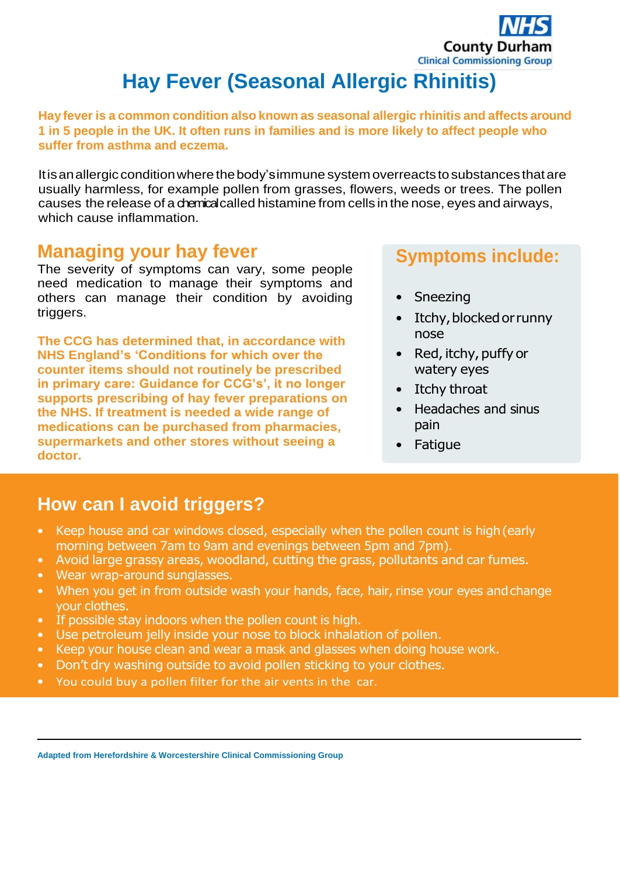

# **Hay Fever (Seasonal Allergic Rhinitis)**

**Hay fever is a common condition also known as seasonal allergic rhinitis and affects around 1 in 5 people in the UK. It often runs in families and is more likely to affect people who suffer from asthma and eczema.**

Itisanallergic conditionwherethebody'simmune system overreactstosubstances thatare usually harmless, for example pollen from grasses, flowers, weeds or trees. The pollen causes the release of a chemicalcalled histamine from cells in the nose, eyes and airways, which cause inflammation.

#### **Managing your hay fever**

The severity of symptoms can vary, some people need medication to manage their symptoms and others can manage their condition by avoiding triggers.

**The CCG has determined that, in accordance with NHS England's 'Conditions for which over the counter items should not routinely be prescribed in primary care: Guidance for CCG's', it no longer supports prescribing of hay fever preparations on the NHS. If treatment is needed a wide range of medications can be purchased from pharmacies, supermarkets and other stores without seeing a doctor.** 

### **Symptoms include:**

- **Sneezing**
- Itchy, blocked or runny nose
- Red, itchy, puffy or watery eyes
- Itchy throat
- Headaches and sinus pain
- Fatigue

# **How can I avoid triggers?**

- Keep house and car windows closed, especially when the pollen count is high (early morning between 7am to 9am and evenings between 5pm and 7pm).
- Avoid large grassy areas, woodland, cutting the grass, pollutants and car fumes.
- Wear wrap-around sunglasses.
- When you get in from outside wash your hands, face, hair, rinse your eyes and change your clothes.
- If possible stay indoors when the pollen count is high.
- Use petroleum jelly inside your nose to block inhalation of pollen.
- Keep your house clean and wear a mask and glasses when doing house work.
- Don't dry washing outside to avoid pollen sticking to your clothes.
- You could buy a pollen filter for the air vents in the car.